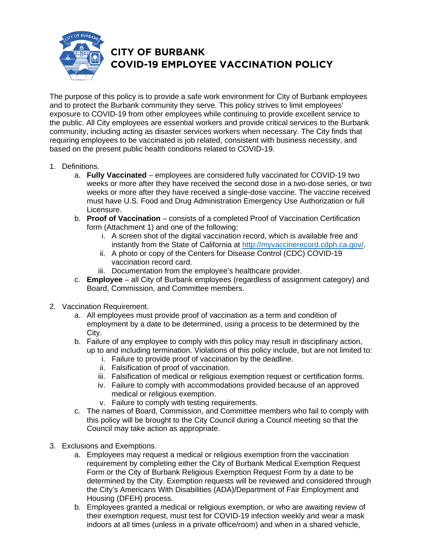

## **CITY OF BURBANK COVID-19 EMPLOYEE VACCINATION POLICY**

The purpose of this policy is to provide a safe work environment for City of Burbank employees and to protect the Burbank community they serve. This policy strives to limit employees' exposure to COVID-19 from other employees while continuing to provide excellent service to the public. All City employees are essential workers and provide critical services to the Burbank community, including acting as disaster services workers when necessary. The City finds that requiring employees to be vaccinated is job related, consistent with business necessity, and based on the present public health conditions related to COVID-19.

- 1. Definitions.
	- a. **Fully Vaccinated** employees are considered fully vaccinated for COVID-19 two weeks or more after they have received the second dose in a two-dose series, or two weeks or more after they have received a single-dose vaccine. The vaccine received must have U.S. Food and Drug Administration Emergency Use Authorization or full Licensure.
	- b. **Proof of Vaccination** consists of a completed Proof of Vaccination Certification form (Attachment 1) and one of the following:
		- i. A screen shot of the digital vaccination record, which is available free and instantly from the State of California at [http://myvaccinerecord.cdph.ca.gov/.](http://myvaccinerecord.cdph.ca.gov/)
		- ii. A photo or copy of the Centers for Disease Control (CDC) COVID-19 vaccination record card.
		- iii. Documentation from the employee's healthcare provider.
	- c. **Employee** all City of Burbank employees (regardless of assignment category) and Board, Commission, and Committee members.
- 2. Vaccination Requirement.
	- a. All employees must provide proof of vaccination as a term and condition of employment by a date to be determined, using a process to be determined by the City.
	- b. Failure of any employee to comply with this policy may result in disciplinary action, up to and including termination. Violations of this policy include, but are not limited to:
		- i. Failure to provide proof of vaccination by the deadline.
		- ii. Falsification of proof of vaccination.
		- iii. Falsification of medical or religious exemption request or certification forms.
		- iv. Failure to comply with accommodations provided because of an approved medical or religious exemption.
		- v. Failure to comply with testing requirements.
	- c. The names of Board, Commission, and Committee members who fail to comply with this policy will be brought to the City Council during a Council meeting so that the Council may take action as appropriate.
- 3. Exclusions and Exemptions.
	- a. Employees may request a medical or religious exemption from the vaccination requirement by completing either the City of Burbank Medical Exemption Request Form or the City of Burbank Religious Exemption Request Form by a date to be determined by the City. Exemption requests will be reviewed and considered through the City's Americans With Disabilities (ADA)/Department of Fair Employment and Housing (DFEH) process.
	- b. Employees granted a medical or religious exemption, or who are awaiting review of their exemption request, must test for COVID-19 infection weekly and wear a mask indoors at all times (unless in a private office/room) and when in a shared vehicle,